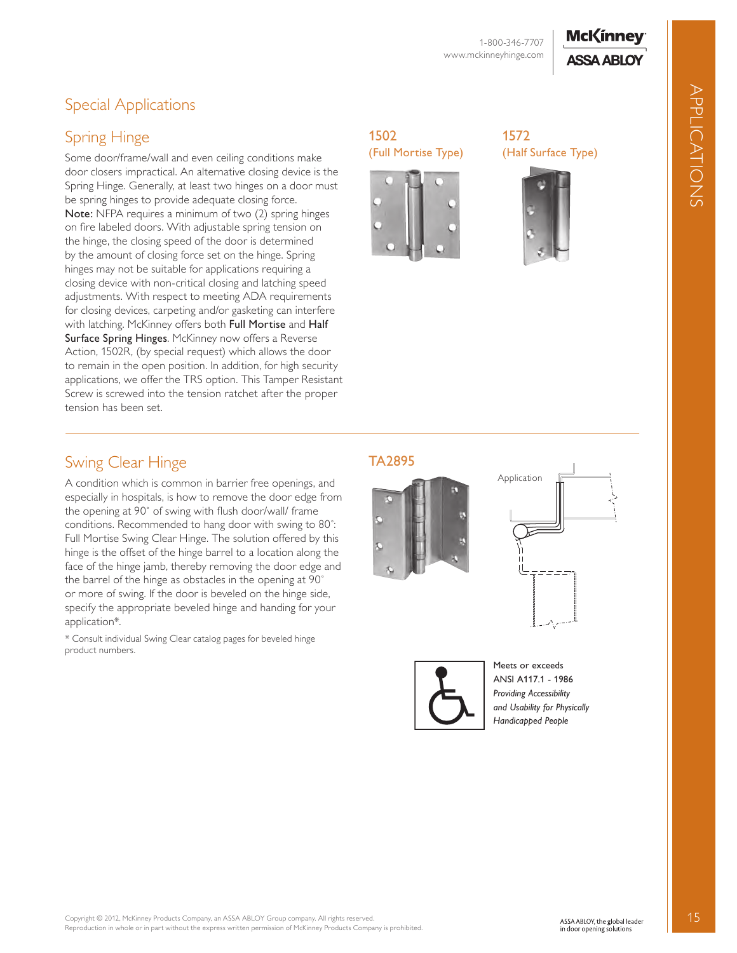## **McKinney ASSA ABLOY**

APPLICAtIOnS

APPLICATIONS

# Special Applications

## Spring Hinge

Some door/frame/wall and even ceiling conditions make door closers impractical. An alternative closing device is the Spring Hinge. Generally, at least two hinges on a door must be spring hinges to provide adequate closing force. Note: NFPA requires a minimum of two (2) spring hinges on fire labeled doors. With adjustable spring tension on the hinge, the closing speed of the door is determined by the amount of closing force set on the hinge. Spring hinges may not be suitable for applications requiring a closing device with non-critical closing and latching speed adjustments. With respect to meeting ADA requirements for closing devices, carpeting and/or gasketing can interfere with latching. McKinney offers both Full Mortise and Half Surface Spring Hinges. McKinney now offers a Reverse Action, 1502R, (by special request) which allows the door to remain in the open position. In addition, for high security applications, we offer the TRS option. This Tamper Resistant Screw is screwed into the tension ratchet after the proper tension has been set.

#### 1502 (Full Mortise Type)







### Swing Clear Hinge

A condition which is common in barrier free openings, and especially in hospitals, is how to remove the door edge from the opening at 90˚ of swing with flush door/wall/ frame conditions. Recommended to hang door with swing to 80˚: Full Mortise Swing Clear Hinge. The solution offered by this hinge is the offset of the hinge barrel to a location along the face of the hinge jamb, thereby removing the door edge and the barrel of the hinge as obstacles in the opening at 90˚ or more of swing. If the door is beveled on the hinge side, specify the appropriate beveled hinge and handing for your application\*.

\* Consult individual Swing Clear catalog pages for beveled hinge product numbers.

#### TA2895







Meets or exceeds ANSI A117.1 - 1986 *Providing Accessibility and Usability for Physically Handicapped People*